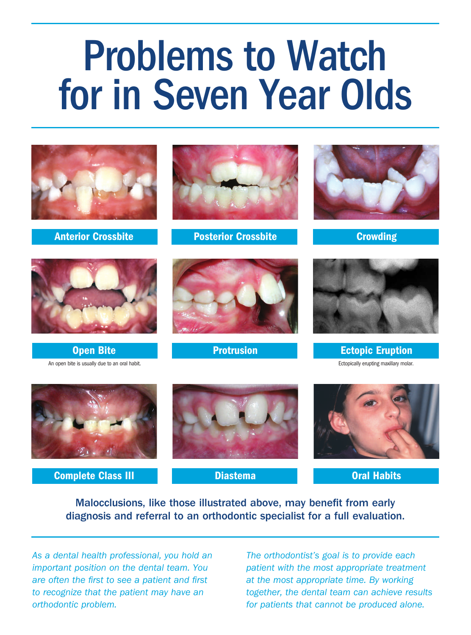# Problems to Watch for in Seven Year Olds





Anterior Crossbite Posterior Crossbite Crowding





An open bite is usually due to an oral habit.





**Open Bite Communist Protrusion Communist Protrusion Ectopic Eruption** Ectopically erupting maxillary molar.



**Complete Class III Complete Class III** Complete Class III Complete Class III Complete Class III





Malocclusions, like those illustrated above, may benefit from early diagnosis and referral to an orthodontic specialist for a full evaluation.

*As a dental health professional, you hold an important position on the dental team. You are often the first to see a patient and first to recognize that the patient may have an orthodontic problem.*

*The orthodontist's goal is to provide each patient with the most appropriate treatment at the most appropriate time. By working together, the dental team can achieve results for patients that cannot be produced alone.*